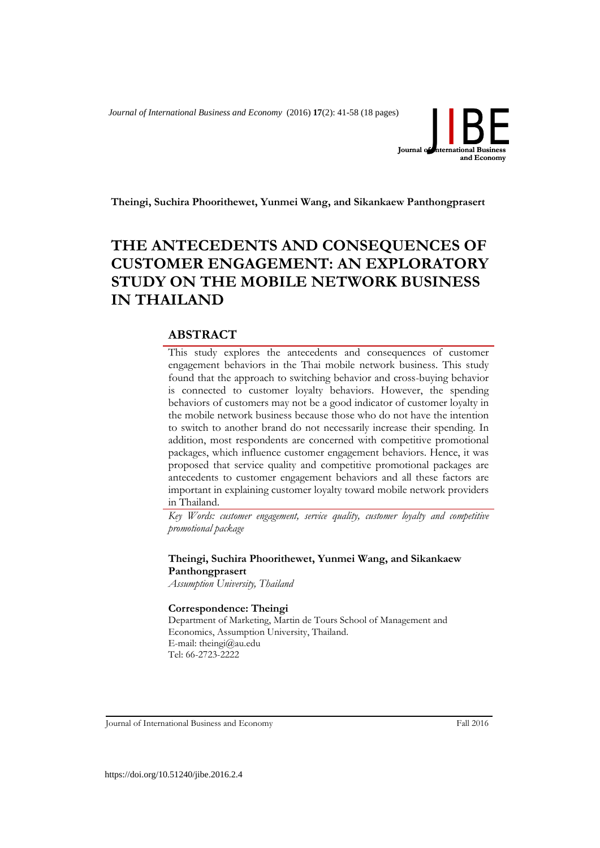*Journal of International Business and Economy* (2016) **17**(2): 41-58 (18 pages)



**Theingi, Suchira Phoorithewet, Yunmei Wang, and Sikankaew Panthongprasert**

# **THE ANTECEDENTS AND CONSEQUENCES OF CUSTOMER ENGAGEMENT: AN EXPLORATORY STUDY ON THE MOBILE NETWORK BUSINESS IN THAILAND**

# **ABSTRACT**

This study explores the antecedents and consequences of customer engagement behaviors in the Thai mobile network business. This study found that the approach to switching behavior and cross-buying behavior is connected to customer loyalty behaviors. However, the spending behaviors of customers may not be a good indicator of customer loyalty in the mobile network business because those who do not have the intention to switch to another brand do not necessarily increase their spending. In addition, most respondents are concerned with competitive promotional packages, which influence customer engagement behaviors. Hence, it was proposed that service quality and competitive promotional packages are antecedents to customer engagement behaviors and all these factors are important in explaining customer loyalty toward mobile network providers in Thailand.

*Key Words: customer engagement, service quality, customer loyalty and competitive promotional package*

### **Theingi, Suchira Phoorithewet, Yunmei Wang, and Sikankaew Panthongprasert**

*Assumption University, Thailand*

#### **Correspondence: Theingi**

Department of Marketing, Martin de Tours School of Management and Economics, Assumption University, Thailand. E-mail: theingi@au.edu Tel: 66-2723-2222

Journal of International Business and Economy Fall 2016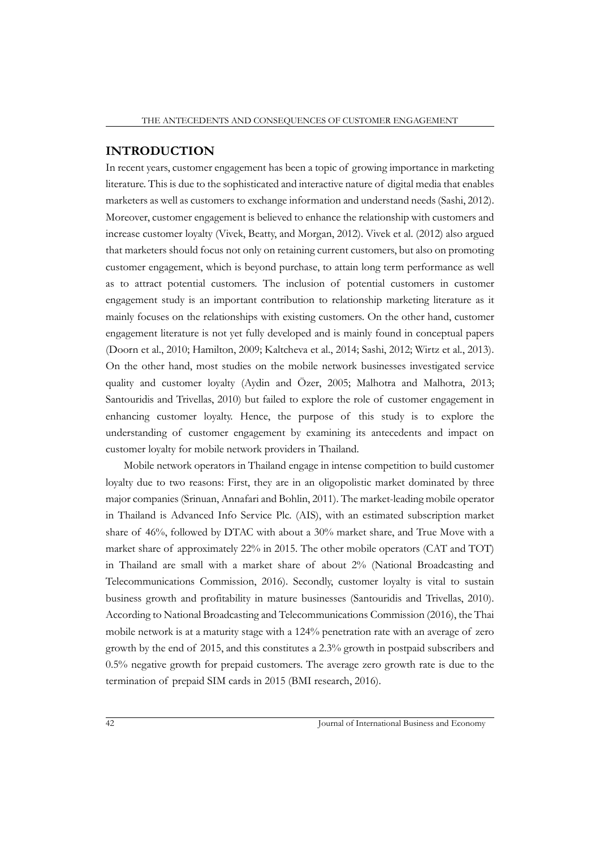### **INTRODUCTION**

In recent years, customer engagement has been a topic of growing importance in marketing literature. This is due to the sophisticated and interactive nature of digital media that enables marketers as well as customers to exchange information and understand needs (Sashi, 2012). Moreover, customer engagement is believed to enhance the relationship with customers and increase customer loyalty (Vivek, Beatty, and Morgan, 2012). Vivek et al. (2012) also argued that marketers should focus not only on retaining current customers, but also on promoting customer engagement, which is beyond purchase, to attain long term performance as well as to attract potential customers. The inclusion of potential customers in customer engagement study is an important contribution to relationship marketing literature as it mainly focuses on the relationships with existing customers. On the other hand, customer engagement literature is not yet fully developed and is mainly found in conceptual papers (Doorn et al., 2010; Hamilton, 2009; Kaltcheva et al., 2014; Sashi, 2012; Wirtz et al., 2013). On the other hand, most studies on the mobile network businesses investigated service quality and customer loyalty (Aydin and Özer, 2005; Malhotra and Malhotra, 2013; Santouridis and Trivellas, 2010) but failed to explore the role of customer engagement in enhancing customer loyalty. Hence, the purpose of this study is to explore the understanding of customer engagement by examining its antecedents and impact on customer loyalty for mobile network providers in Thailand.

Mobile network operators in Thailand engage in intense competition to build customer loyalty due to two reasons: First, they are in an oligopolistic market dominated by three major companies (Srinuan, Annafari and Bohlin, 2011). The market-leading mobile operator in Thailand is Advanced Info Service Plc. (AIS), with an estimated subscription market share of 46%, followed by DTAC with about a 30% market share, and True Move with a market share of approximately 22% in 2015. The other mobile operators (CAT and TOT) in Thailand are small with a market share of about 2% (National Broadcasting and Telecommunications Commission, 2016). Secondly, customer loyalty is vital to sustain business growth and profitability in mature businesses (Santouridis and Trivellas, 2010). According to National Broadcasting and Telecommunications Commission (2016), the Thai mobile network is at a maturity stage with a 124% penetration rate with an average of zero growth by the end of 2015, and this constitutes a 2.3% growth in postpaid subscribers and 0.5% negative growth for prepaid customers. The average zero growth rate is due to the termination of prepaid SIM cards in 2015 (BMI research, 2016).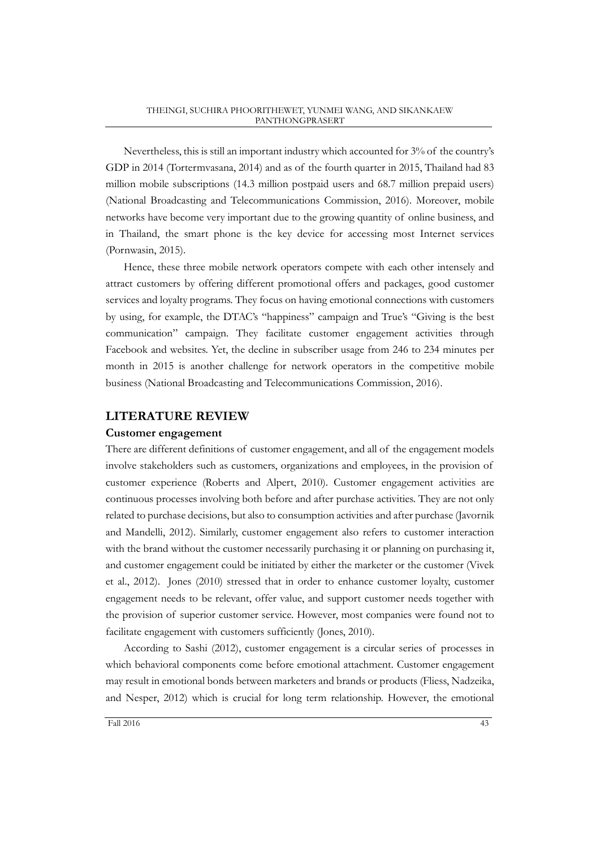Nevertheless, this is still an important industry which accounted for 3% of the country's GDP in 2014 (Tortermvasana, 2014) and as of the fourth quarter in 2015, Thailand had 83 million mobile subscriptions (14.3 million postpaid users and 68.7 million prepaid users) (National Broadcasting and Telecommunications Commission, 2016). Moreover, mobile networks have become very important due to the growing quantity of online business, and in Thailand, the smart phone is the key device for accessing most Internet services (Pornwasin, 2015).

Hence, these three mobile network operators compete with each other intensely and attract customers by offering different promotional offers and packages, good customer services and loyalty programs. They focus on having emotional connections with customers by using, for example, the DTAC's "happiness" campaign and True's "Giving is the best communication" campaign. They facilitate customer engagement activities through Facebook and websites. Yet, the decline in subscriber usage from 246 to 234 minutes per month in 2015 is another challenge for network operators in the competitive mobile business (National Broadcasting and Telecommunications Commission, 2016).

## **LITERATURE REVIEW**

#### **Customer engagement**

There are different definitions of customer engagement, and all of the engagement models involve stakeholders such as customers, organizations and employees, in the provision of customer experience (Roberts and Alpert, 2010). Customer engagement activities are continuous processes involving both before and after purchase activities. They are not only related to purchase decisions, but also to consumption activities and after purchase (Javornik and Mandelli, 2012). Similarly, customer engagement also refers to customer interaction with the brand without the customer necessarily purchasing it or planning on purchasing it, and customer engagement could be initiated by either the marketer or the customer (Vivek et al., 2012). Jones (2010) stressed that in order to enhance customer loyalty, customer engagement needs to be relevant, offer value, and support customer needs together with the provision of superior customer service. However, most companies were found not to facilitate engagement with customers sufficiently (Jones, 2010).

According to Sashi (2012), customer engagement is a circular series of processes in which behavioral components come before emotional attachment. Customer engagement may result in emotional bonds between marketers and brands or products (Fliess, Nadzeika, and Nesper, 2012) which is crucial for long term relationship. However, the emotional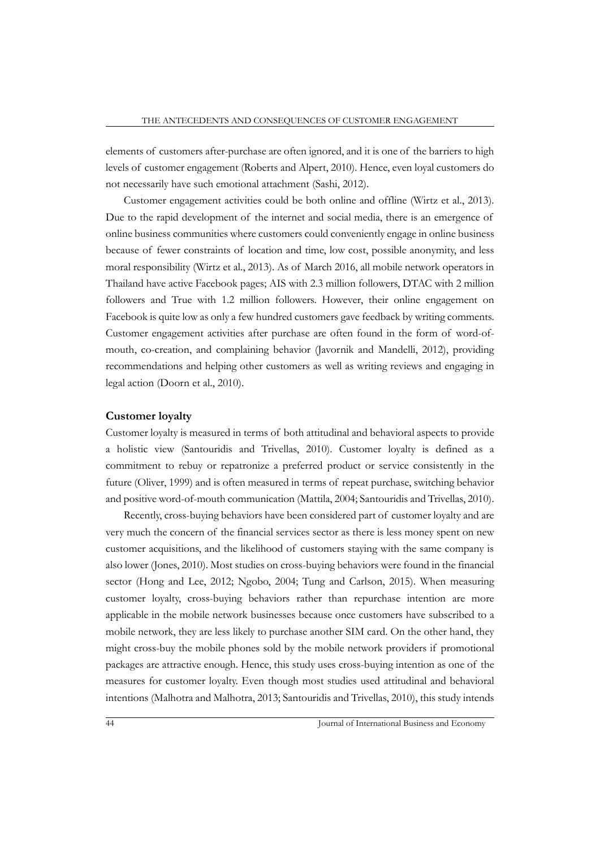elements of customers after-purchase are often ignored, and it is one of the barriers to high levels of customer engagement (Roberts and Alpert, 2010). Hence, even loyal customers do not necessarily have such emotional attachment (Sashi, 2012).

Customer engagement activities could be both online and offline (Wirtz et al., 2013). Due to the rapid development of the internet and social media, there is an emergence of online business communities where customers could conveniently engage in online business because of fewer constraints of location and time, low cost, possible anonymity, and less moral responsibility (Wirtz et al., 2013). As of March 2016, all mobile network operators in Thailand have active Facebook pages; AIS with 2.3 million followers, DTAC with 2 million followers and True with 1.2 million followers. However, their online engagement on Facebook is quite low as only a few hundred customers gave feedback by writing comments. Customer engagement activities after purchase are often found in the form of word-ofmouth, co-creation, and complaining behavior (Javornik and Mandelli, 2012), providing recommendations and helping other customers as well as writing reviews and engaging in legal action (Doorn et al., 2010).

#### **Customer loyalty**

Customer loyalty is measured in terms of both attitudinal and behavioral aspects to provide a holistic view (Santouridis and Trivellas, 2010). Customer loyalty is defined as a commitment to rebuy or repatronize a preferred product or service consistently in the future (Oliver, 1999) and is often measured in terms of repeat purchase, switching behavior and positive word-of-mouth communication (Mattila, 2004; Santouridis and Trivellas, 2010).

Recently, cross-buying behaviors have been considered part of customer loyalty and are very much the concern of the financial services sector as there is less money spent on new customer acquisitions, and the likelihood of customers staying with the same company is also lower (Jones, 2010). Most studies on cross-buying behaviors were found in the financial sector (Hong and Lee, 2012; Ngobo, 2004; Tung and Carlson, 2015). When measuring customer loyalty, cross-buying behaviors rather than repurchase intention are more applicable in the mobile network businesses because once customers have subscribed to a mobile network, they are less likely to purchase another SIM card. On the other hand, they might cross-buy the mobile phones sold by the mobile network providers if promotional packages are attractive enough. Hence, this study uses cross-buying intention as one of the measures for customer loyalty. Even though most studies used attitudinal and behavioral intentions (Malhotra and Malhotra, 2013; Santouridis and Trivellas, 2010), this study intends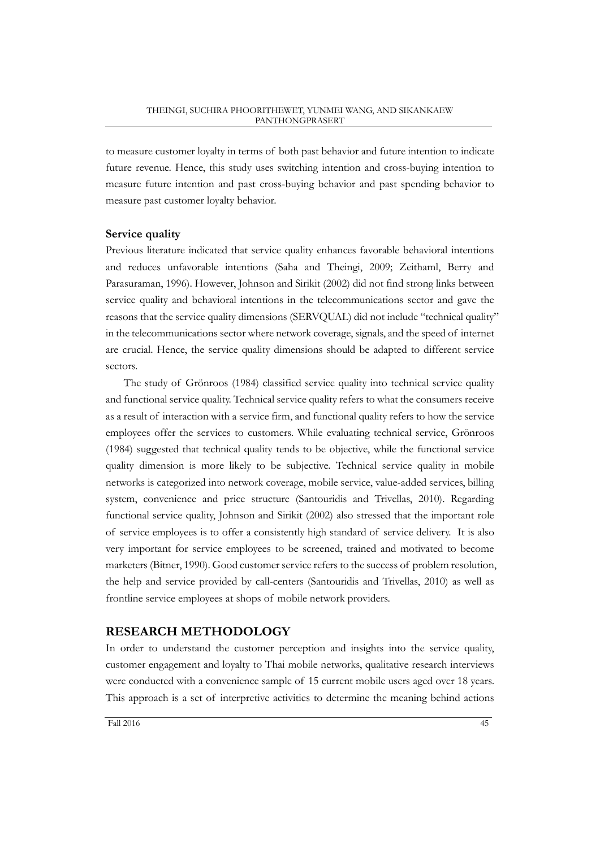to measure customer loyalty in terms of both past behavior and future intention to indicate future revenue. Hence, this study uses switching intention and cross-buying intention to measure future intention and past cross-buying behavior and past spending behavior to measure past customer loyalty behavior.

#### **Service quality**

Previous literature indicated that service quality enhances favorable behavioral intentions and reduces unfavorable intentions (Saha and Theingi, 2009; Zeithaml, Berry and Parasuraman, 1996). However, Johnson and Sirikit (2002) did not find strong links between service quality and behavioral intentions in the telecommunications sector and gave the reasons that the service quality dimensions (SERVQUAL) did not include "technical quality" in the telecommunications sector where network coverage, signals, and the speed of internet are crucial. Hence, the service quality dimensions should be adapted to different service sectors.

The study of Grönroos (1984) classified service quality into technical service quality and functional service quality. Technical service quality refers to what the consumers receive as a result of interaction with a service firm, and functional quality refers to how the service employees offer the services to customers. While evaluating technical service, Grönroos (1984) suggested that technical quality tends to be objective, while the functional service quality dimension is more likely to be subjective. Technical service quality in mobile networks is categorized into network coverage, mobile service, value-added services, billing system, convenience and price structure (Santouridis and Trivellas, 2010). Regarding functional service quality, Johnson and Sirikit (2002) also stressed that the important role of service employees is to offer a consistently high standard of service delivery. It is also very important for service employees to be screened, trained and motivated to become marketers (Bitner, 1990). Good customer service refers to the success of problem resolution, the help and service provided by call-centers (Santouridis and Trivellas, 2010) as well as frontline service employees at shops of mobile network providers.

#### **RESEARCH METHODOLOGY**

In order to understand the customer perception and insights into the service quality, customer engagement and loyalty to Thai mobile networks, qualitative research interviews were conducted with a convenience sample of 15 current mobile users aged over 18 years. This approach is a set of interpretive activities to determine the meaning behind actions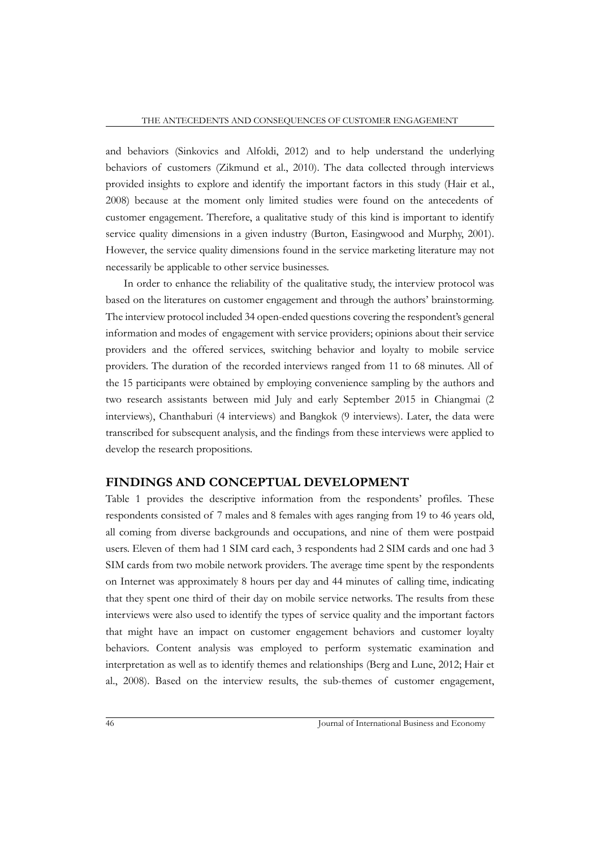and behaviors (Sinkovics and Alfoldi, 2012) and to help understand the underlying behaviors of customers (Zikmund et al., 2010). The data collected through interviews provided insights to explore and identify the important factors in this study (Hair et al., 2008) because at the moment only limited studies were found on the antecedents of customer engagement. Therefore, a qualitative study of this kind is important to identify service quality dimensions in a given industry (Burton, Easingwood and Murphy, 2001). However, the service quality dimensions found in the service marketing literature may not necessarily be applicable to other service businesses.

In order to enhance the reliability of the qualitative study, the interview protocol was based on the literatures on customer engagement and through the authors' brainstorming. The interview protocol included 34 open-ended questions covering the respondent's general information and modes of engagement with service providers; opinions about their service providers and the offered services, switching behavior and loyalty to mobile service providers. The duration of the recorded interviews ranged from 11 to 68 minutes. All of the 15 participants were obtained by employing convenience sampling by the authors and two research assistants between mid July and early September 2015 in Chiangmai (2 interviews), Chanthaburi (4 interviews) and Bangkok (9 interviews). Later, the data were transcribed for subsequent analysis, and the findings from these interviews were applied to develop the research propositions.

#### **FINDINGS AND CONCEPTUAL DEVELOPMENT**

Table 1 provides the descriptive information from the respondents' profiles. These respondents consisted of 7 males and 8 females with ages ranging from 19 to 46 years old, all coming from diverse backgrounds and occupations, and nine of them were postpaid users. Eleven of them had 1 SIM card each, 3 respondents had 2 SIM cards and one had 3 SIM cards from two mobile network providers. The average time spent by the respondents on Internet was approximately 8 hours per day and 44 minutes of calling time, indicating that they spent one third of their day on mobile service networks. The results from these interviews were also used to identify the types of service quality and the important factors that might have an impact on customer engagement behaviors and customer loyalty behaviors. Content analysis was employed to perform systematic examination and interpretation as well as to identify themes and relationships (Berg and Lune, 2012; Hair et al., 2008). Based on the interview results, the sub-themes of customer engagement,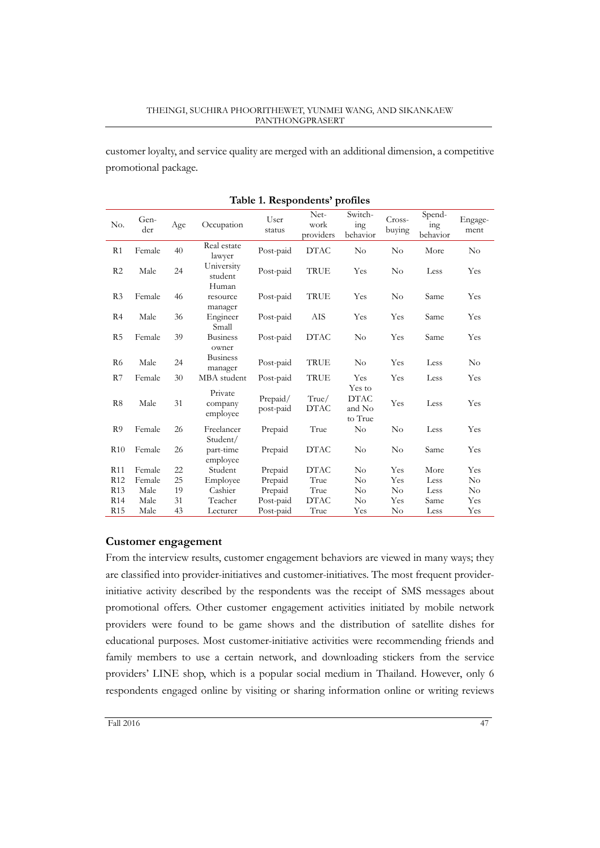customer loyalty, and service quality are merged with an additional dimension, a competitive promotional package.

| No.             | Gen-<br>der | Age | Occupation            | User<br>status | Net-<br>work<br>providers | Switch-<br>ing<br>behavior | Cross-<br>buying | Spend-<br>ing<br>behavior | Engage-<br>ment |
|-----------------|-------------|-----|-----------------------|----------------|---------------------------|----------------------------|------------------|---------------------------|-----------------|
| R <sub>1</sub>  | Female      | 40  | Real estate<br>lawyer | Post-paid      | <b>DTAC</b>               | $\rm No$                   | $\rm No$         | More                      | $\rm No$        |
| R <sub>2</sub>  | Male        | 24  | University<br>student | Post-paid      | TRUE                      | Yes                        | $\rm No$         | Less                      | Yes             |
|                 |             |     | Human                 |                |                           |                            |                  |                           |                 |
| R <sub>3</sub>  | Female      | 46  | resource              | Post-paid      | <b>TRUE</b>               | Yes                        | No               | Same                      | Yes             |
|                 |             |     | manager               |                |                           |                            |                  |                           |                 |
| R <sub>4</sub>  | Male        | 36  | Engineer<br>Small     | Post-paid      | AIS                       | Yes                        | Yes              | Same                      | Yes             |
| R <sub>5</sub>  | Female      | 39  | <b>Business</b>       | Post-paid      | <b>DTAC</b>               | $\rm No$                   | Yes              | Same                      | Yes             |
|                 |             |     | owner                 |                |                           |                            |                  |                           |                 |
|                 |             |     | <b>Business</b>       |                |                           |                            |                  |                           |                 |
| R <sub>6</sub>  | Male        | 24  | manager               | Post-paid      | TRUE                      | $\rm No$                   | Yes              | Less                      | $\rm No$        |
| R7              | Female      | 30  | MBA student           | Post-paid      | TRUE                      | Yes                        | Yes              | Less                      | Yes             |
|                 |             |     | Private               |                |                           | Yes to                     |                  |                           |                 |
| R <sub>8</sub>  | Male        | 31  | company               | Prepaid/       | True/                     | <b>DTAC</b>                | Yes              | Less                      | Yes             |
|                 |             |     | employee              | post-paid      | <b>DTAC</b>               | and No                     |                  |                           |                 |
|                 |             |     |                       |                |                           | to True                    |                  |                           |                 |
| R <sub>9</sub>  | Female      | 26  | Freelancer            | Prepaid        | True                      | $\rm No$                   | $\rm No$         | Less                      | Yes             |
|                 |             |     | Student/              |                |                           |                            |                  |                           |                 |
| R10             | Female      | 26  | part-time             | Prepaid        | <b>DTAC</b>               | $\rm No$                   | $\rm No$         | Same                      | Yes             |
|                 |             |     | employee              |                |                           |                            |                  |                           |                 |
| <b>R11</b>      | Female      | 22  | Student               | Prepaid        | <b>DTAC</b>               | No                         | Yes              | More                      | Yes             |
| R <sub>12</sub> | Female      | 25  | Employee              | Prepaid        | True                      | $\rm No$                   | Yes              | Less                      | $\rm No$        |
| R <sub>13</sub> | Male        | 19  | Cashier               | Prepaid        | True                      | $\rm No$                   | $\rm No$         | Less                      | $\rm No$        |
| R <sub>14</sub> | Male        | 31  | Teacher               | Post-paid      | <b>DTAC</b>               | No                         | Yes              | Same                      | Yes             |
| R <sub>15</sub> | Male        | 43  | Lecturer              | Post-paid      | True                      | Yes                        | $\rm No$         | Less                      | Yes             |

|  | Table 1. Respondents' profiles |  |
|--|--------------------------------|--|
|--|--------------------------------|--|

# **Customer engagement**

From the interview results, customer engagement behaviors are viewed in many ways; they are classified into provider-initiatives and customer-initiatives. The most frequent providerinitiative activity described by the respondents was the receipt of SMS messages about promotional offers. Other customer engagement activities initiated by mobile network providers were found to be game shows and the distribution of satellite dishes for educational purposes. Most customer-initiative activities were recommending friends and family members to use a certain network, and downloading stickers from the service providers' LINE shop, which is a popular social medium in Thailand. However, only 6 respondents engaged online by visiting or sharing information online or writing reviews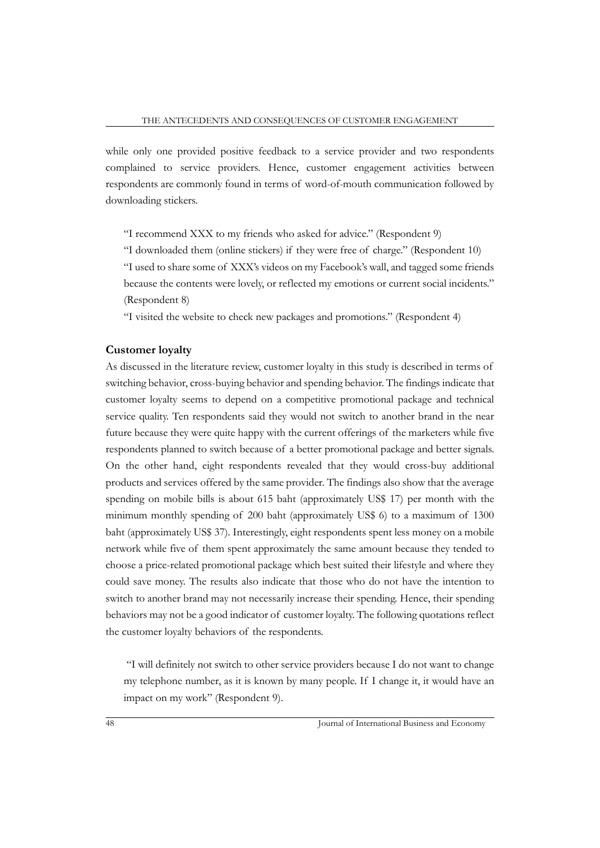while only one provided positive feedback to a service provider and two respondents complained to service providers. Hence, customer engagement activities between respondents are commonly found in terms of word-of-mouth communication followed by downloading stickers.

"I recommend XXX to my friends who asked for advice." (Respondent 9)

"I downloaded them (online stickers) if they were free of charge." (Respondent 10)

"I used to share some of XXX's videos on my Facebook's wall, and tagged some friends because the contents were lovely, or reflected my emotions or current social incidents." (Respondent 8)

"I visited the website to check new packages and promotions." (Respondent 4)

### **Customer loyalty**

As discussed in the literature review, customer loyalty in this study is described in terms of switching behavior, cross-buying behavior and spending behavior. The findings indicate that customer loyalty seems to depend on a competitive promotional package and technical service quality. Ten respondents said they would not switch to another brand in the near future because they were quite happy with the current offerings of the marketers while five respondents planned to switch because of a better promotional package and better signals. On the other hand, eight respondents revealed that they would cross-buy additional products and services offered by the same provider. The findings also show that the average spending on mobile bills is about 615 baht (approximately US\$ 17) per month with the minimum monthly spending of 200 baht (approximately US\$ 6) to a maximum of 1300 baht (approximately US\$ 37). Interestingly, eight respondents spent less money on a mobile network while five of them spent approximately the same amount because they tended to choose a price-related promotional package which best suited their lifestyle and where they could save money. The results also indicate that those who do not have the intention to switch to another brand may not necessarily increase their spending. Hence, their spending behaviors may not be a good indicator of customer loyalty. The following quotations reflect the customer loyalty behaviors of the respondents.

"I will definitely not switch to other service providers because I do not want to change my telephone number, as it is known by many people. If I change it, it would have an impact on my work" (Respondent 9).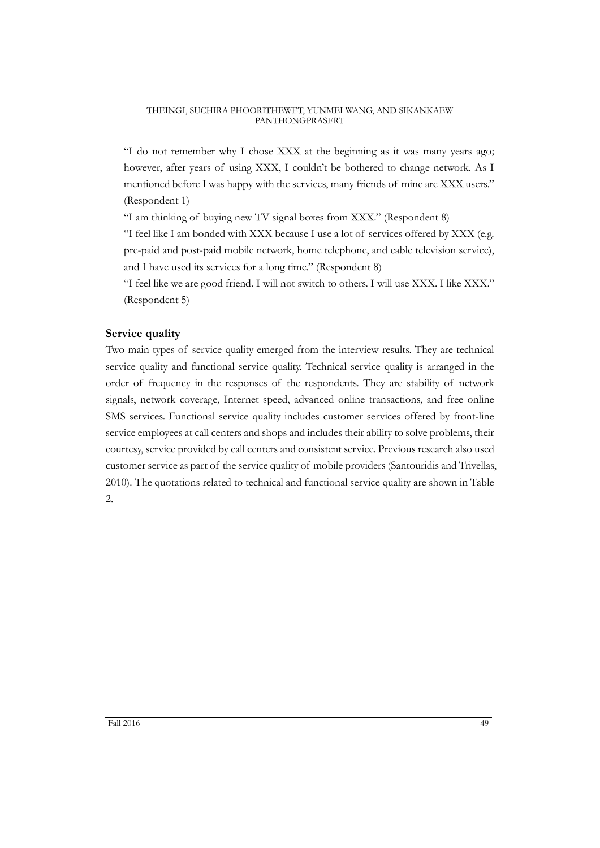"I do not remember why I chose XXX at the beginning as it was many years ago; however, after years of using XXX, I couldn't be bothered to change network. As I mentioned before I was happy with the services, many friends of mine are XXX users." (Respondent 1)

"I am thinking of buying new TV signal boxes from XXX." (Respondent 8)

"I feel like I am bonded with XXX because I use a lot of services offered by XXX (e.g. pre-paid and post-paid mobile network, home telephone, and cable television service), and I have used its services for a long time." (Respondent 8)

"I feel like we are good friend. I will not switch to others. I will use XXX. I like XXX." (Respondent 5)

# **Service quality**

Two main types of service quality emerged from the interview results. They are technical service quality and functional service quality. Technical service quality is arranged in the order of frequency in the responses of the respondents. They are stability of network signals, network coverage, Internet speed, advanced online transactions, and free online SMS services. Functional service quality includes customer services offered by front-line service employees at call centers and shops and includes their ability to solve problems, their courtesy, service provided by call centers and consistent service. Previous research also used customer service as part of the service quality of mobile providers (Santouridis and Trivellas, 2010). The quotations related to technical and functional service quality are shown in Table 2.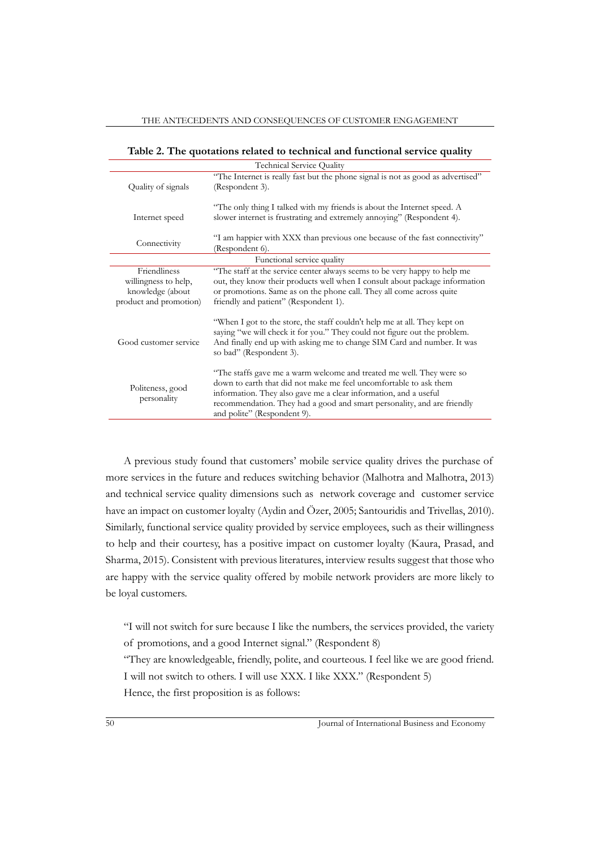| Table 2. The quotations related to technical and functional service quality |                                                                                                                                                         |  |  |  |  |
|-----------------------------------------------------------------------------|---------------------------------------------------------------------------------------------------------------------------------------------------------|--|--|--|--|
| <b>Technical Service Quality</b>                                            |                                                                                                                                                         |  |  |  |  |
| Quality of signals                                                          | "The Internet is really fast but the phone signal is not as good as advertised"<br>(Respondent 3).                                                      |  |  |  |  |
| Internet speed                                                              | "The only thing I talked with my friends is about the Internet speed. A<br>slower internet is frustrating and extremely annoying" (Respondent 4).       |  |  |  |  |
| Connectivity                                                                | "I am happier with XXX than previous one because of the fast connectivity"<br>(Respondent 6).                                                           |  |  |  |  |
|                                                                             | Functional service quality                                                                                                                              |  |  |  |  |
| Friendliness<br>willingness to help,                                        | The staff at the service center always seems to be very happy to help me<br>out, they know their products well when I consult about package information |  |  |  |  |

friendly and patient" (Respondent 1).

so bad" (Respondent 3).

and polite" (Respondent 9).

or promotions. Same as on the phone call. They all come across quite

"When I got to the store, the staff couldn't help me at all. They kept on saying "we will check it for you." They could not figure out the problem. And finally end up with asking me to change SIM Card and number. It was

"The staffs gave me a warm welcome and treated me well. They were so down to earth that did not make me feel uncomfortable to ask them information. They also gave me a clear information, and a useful recommendation. They had a good and smart personality, and are friendly

| THE ANTECEDENTS AND CONSEQUENCES OF CUSTOMER ENGAGEMENT |  |
|---------------------------------------------------------|--|
|                                                         |  |

A previous study found that customers' mobile service quality drives the purchase of more services in the future and reduces switching behavior (Malhotra and Malhotra, 2013) and technical service quality dimensions such as network coverage and customer service have an impact on customer loyalty (Aydin and Özer, 2005; Santouridis and Trivellas, 2010). Similarly, functional service quality provided by service employees, such as their willingness to help and their courtesy, has a positive impact on customer loyalty (Kaura, Prasad, and Sharma, 2015). Consistent with previous literatures, interview results suggest that those who are happy with the service quality offered by mobile network providers are more likely to be loyal customers.

"I will not switch for sure because I like the numbers, the services provided, the variety of promotions, and a good Internet signal." (Respondent 8) "They are knowledgeable, friendly, polite, and courteous. I feel like we are good friend. I will not switch to others. I will use XXX. I like XXX." (Respondent 5)

Hence, the first proposition is as follows:

knowledge (about product and promotion)

Good customer service

Politeness, good personality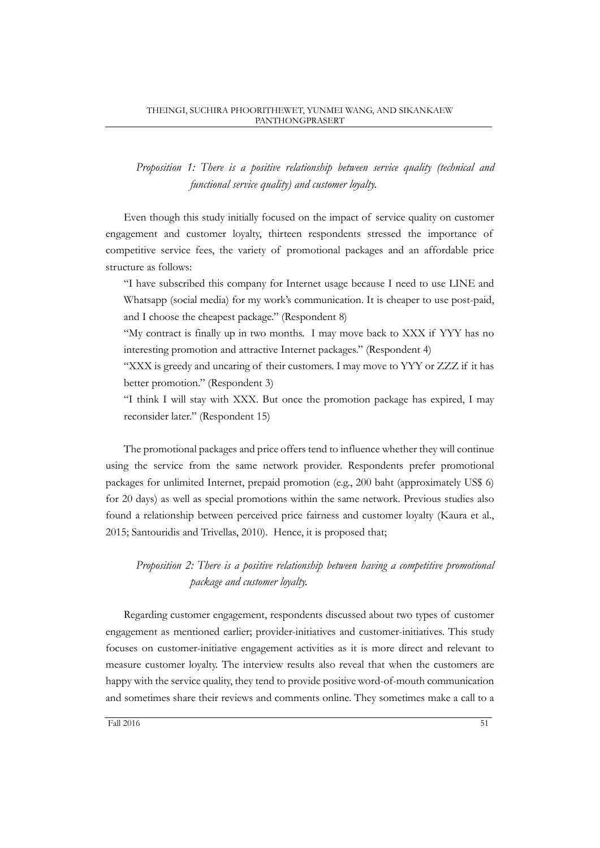# *Proposition 1: There is a positive relationship between service quality (technical and functional service quality) and customer loyalty.*

Even though this study initially focused on the impact of service quality on customer engagement and customer loyalty, thirteen respondents stressed the importance of competitive service fees, the variety of promotional packages and an affordable price structure as follows:

"I have subscribed this company for Internet usage because I need to use LINE and Whatsapp (social media) for my work's communication. It is cheaper to use post-paid, and I choose the cheapest package." (Respondent 8)

"My contract is finally up in two months. I may move back to XXX if YYY has no interesting promotion and attractive Internet packages." (Respondent 4)

"XXX is greedy and uncaring of their customers. I may move to YYY or ZZZ if it has better promotion." (Respondent 3)

"I think I will stay with XXX. But once the promotion package has expired, I may reconsider later." (Respondent 15)

The promotional packages and price offers tend to influence whether they will continue using the service from the same network provider. Respondents prefer promotional packages for unlimited Internet, prepaid promotion (e.g., 200 baht (approximately US\$ 6) for 20 days) as well as special promotions within the same network. Previous studies also found a relationship between perceived price fairness and customer loyalty (Kaura et al., 2015; Santouridis and Trivellas, 2010). Hence, it is proposed that;

# *Proposition 2: There is a positive relationship between having a competitive promotional package and customer loyalty.*

Regarding customer engagement, respondents discussed about two types of customer engagement as mentioned earlier; provider-initiatives and customer-initiatives. This study focuses on customer-initiative engagement activities as it is more direct and relevant to measure customer loyalty. The interview results also reveal that when the customers are happy with the service quality, they tend to provide positive word-of-mouth communication and sometimes share their reviews and comments online. They sometimes make a call to a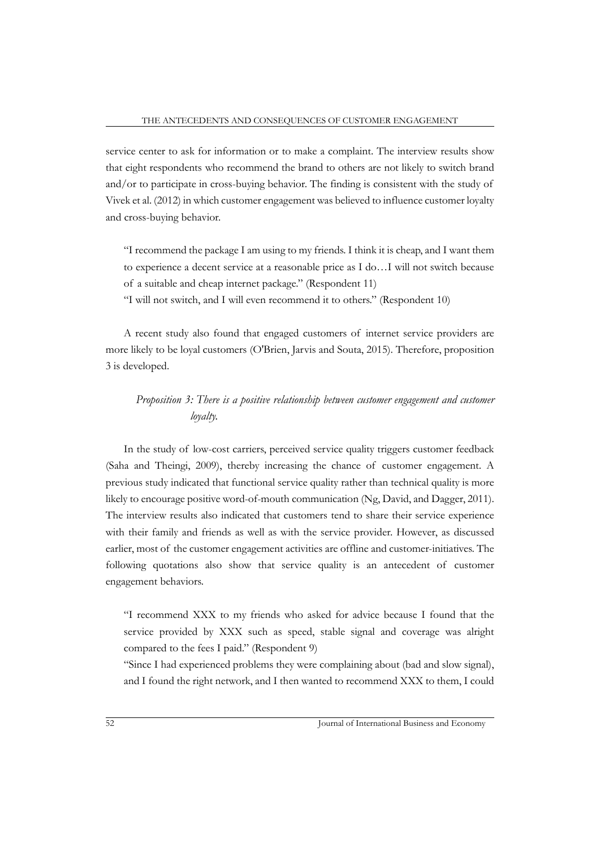service center to ask for information or to make a complaint. The interview results show that eight respondents who recommend the brand to others are not likely to switch brand and/or to participate in cross-buying behavior. The finding is consistent with the study of Vivek et al. (2012) in which customer engagement was believed to influence customer loyalty and cross-buying behavior.

"I recommend the package I am using to my friends. I think it is cheap, and I want them to experience a decent service at a reasonable price as I do…I will not switch because of a suitable and cheap internet package." (Respondent 11)

"I will not switch, and I will even recommend it to others." (Respondent 10)

A recent study also found that engaged customers of internet service providers are more likely to be loyal customers (O'Brien, Jarvis and Souta, 2015). Therefore, proposition 3 is developed.

# *Proposition 3: There is a positive relationship between customer engagement and customer loyalty.*

In the study of low-cost carriers, perceived service quality triggers customer feedback (Saha and Theingi, 2009), thereby increasing the chance of customer engagement. A previous study indicated that functional service quality rather than technical quality is more likely to encourage positive word-of-mouth communication (Ng, David, and Dagger, 2011). The interview results also indicated that customers tend to share their service experience with their family and friends as well as with the service provider. However, as discussed earlier, most of the customer engagement activities are offline and customer-initiatives. The following quotations also show that service quality is an antecedent of customer engagement behaviors.

"I recommend XXX to my friends who asked for advice because I found that the service provided by XXX such as speed, stable signal and coverage was alright compared to the fees I paid." (Respondent 9)

"Since I had experienced problems they were complaining about (bad and slow signal), and I found the right network, and I then wanted to recommend XXX to them, I could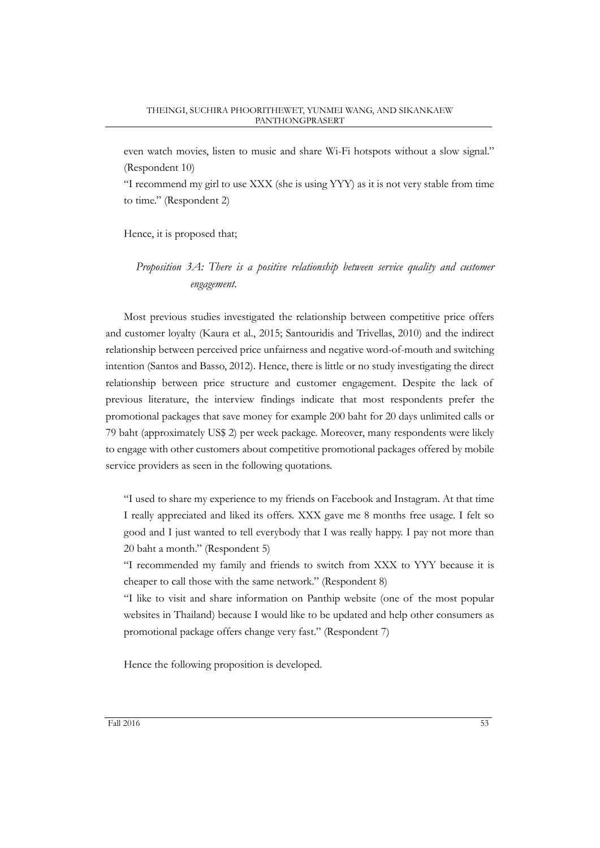even watch movies, listen to music and share Wi-Fi hotspots without a slow signal." (Respondent 10)

"I recommend my girl to use XXX (she is using YYY) as it is not very stable from time to time." (Respondent 2)

Hence, it is proposed that;

*Proposition 3A: There is a positive relationship between service quality and customer engagement.*

Most previous studies investigated the relationship between competitive price offers and customer loyalty (Kaura et al., 2015; Santouridis and Trivellas, 2010) and the indirect relationship between perceived price unfairness and negative word-of-mouth and switching intention (Santos and Basso, 2012). Hence, there is little or no study investigating the direct relationship between price structure and customer engagement. Despite the lack of previous literature, the interview findings indicate that most respondents prefer the promotional packages that save money for example 200 baht for 20 days unlimited calls or 79 baht (approximately US\$ 2) per week package. Moreover, many respondents were likely to engage with other customers about competitive promotional packages offered by mobile service providers as seen in the following quotations.

"I used to share my experience to my friends on Facebook and Instagram. At that time I really appreciated and liked its offers. XXX gave me 8 months free usage. I felt so good and I just wanted to tell everybody that I was really happy. I pay not more than 20 baht a month." (Respondent 5)

"I recommended my family and friends to switch from XXX to YYY because it is cheaper to call those with the same network." (Respondent 8)

"I like to visit and share information on Panthip website (one of the most popular websites in Thailand) because I would like to be updated and help other consumers as promotional package offers change very fast." (Respondent 7)

Hence the following proposition is developed.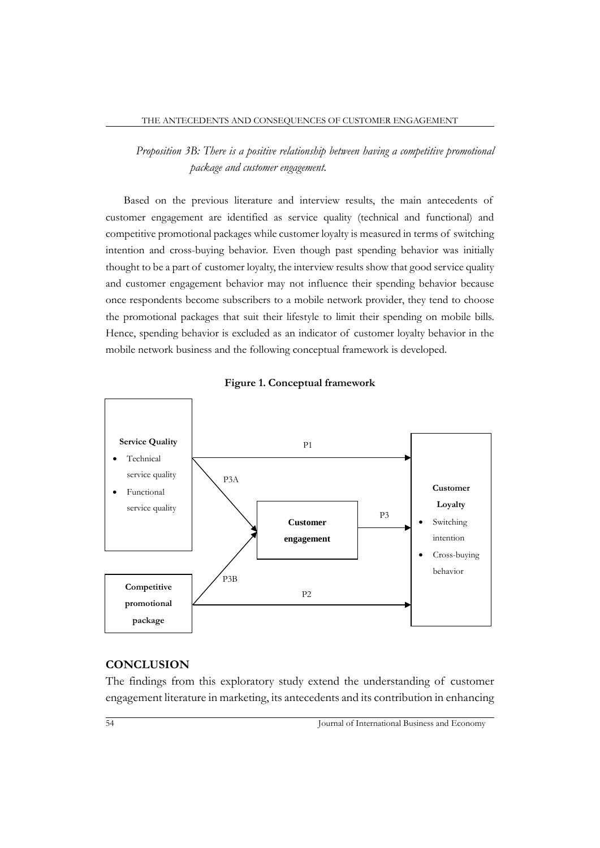*Proposition 3B: There is a positive relationship between having a competitive promotional package and customer engagement.*

Based on the previous literature and interview results, the main antecedents of customer engagement are identified as service quality (technical and functional) and competitive promotional packages while customer loyalty is measured in terms of switching intention and cross-buying behavior. Even though past spending behavior was initially thought to be a part of customer loyalty, the interview results show that good service quality and customer engagement behavior may not influence their spending behavior because once respondents become subscribers to a mobile network provider, they tend to choose the promotional packages that suit their lifestyle to limit their spending on mobile bills. Hence, spending behavior is excluded as an indicator of customer loyalty behavior in the mobile network business and the following conceptual framework is developed.





#### **CONCLUSION**

The findings from this exploratory study extend the understanding of customer engagement literature in marketing, its antecedents and its contribution in enhancing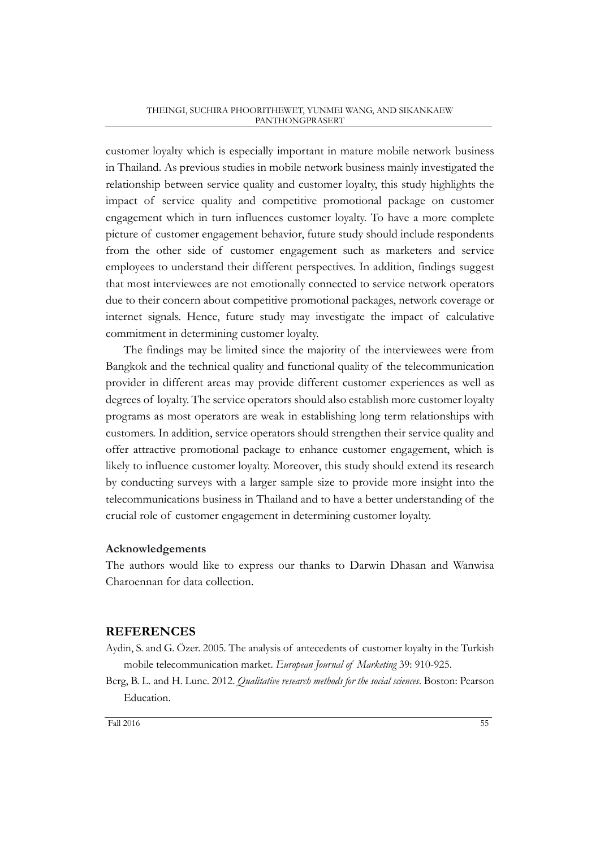customer loyalty which is especially important in mature mobile network business in Thailand. As previous studies in mobile network business mainly investigated the relationship between service quality and customer loyalty, this study highlights the impact of service quality and competitive promotional package on customer engagement which in turn influences customer loyalty. To have a more complete picture of customer engagement behavior, future study should include respondents from the other side of customer engagement such as marketers and service employees to understand their different perspectives. In addition, findings suggest that most interviewees are not emotionally connected to service network operators due to their concern about competitive promotional packages, network coverage or internet signals. Hence, future study may investigate the impact of calculative commitment in determining customer loyalty.

The findings may be limited since the majority of the interviewees were from Bangkok and the technical quality and functional quality of the telecommunication provider in different areas may provide different customer experiences as well as degrees of loyalty. The service operators should also establish more customer loyalty programs as most operators are weak in establishing long term relationships with customers. In addition, service operators should strengthen their service quality and offer attractive promotional package to enhance customer engagement, which is likely to influence customer loyalty. Moreover, this study should extend its research by conducting surveys with a larger sample size to provide more insight into the telecommunications business in Thailand and to have a better understanding of the crucial role of customer engagement in determining customer loyalty.

## **Acknowledgements**

The authors would like to express our thanks to Darwin Dhasan and Wanwisa Charoennan for data collection.

### **REFERENCES**

- Aydin, S. and G. Özer. 2005. The analysis of antecedents of customer loyalty in the Turkish mobile telecommunication market. *European Journal of Marketing* 39: 910-925.
- Berg, B. L. and H. Lune. 2012. *Qualitative research methods for the social sciences*. Boston: Pearson Education.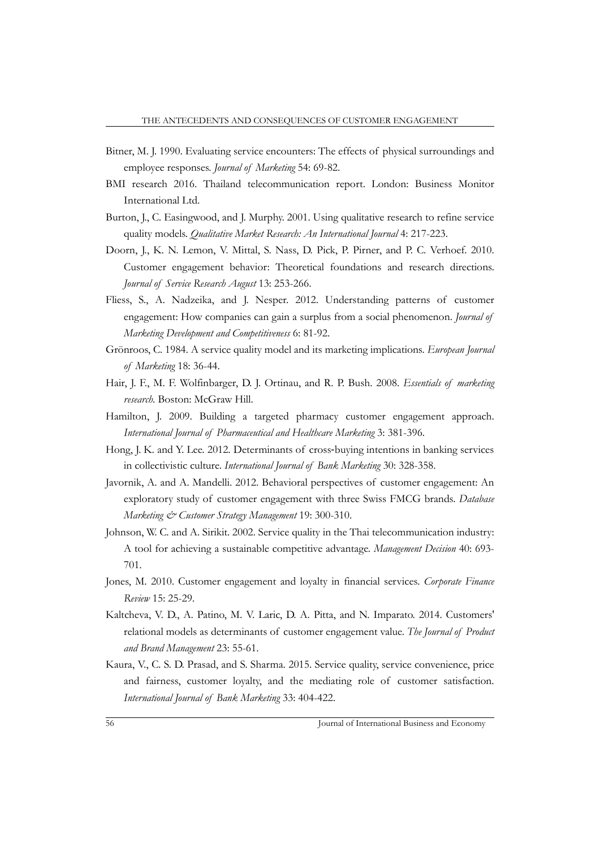- Bitner, M. J. 1990. Evaluating service encounters: The effects of physical surroundings and employee responses. *Journal of Marketing* 54: 69-82.
- BMI research 2016. Thailand telecommunication report. London: Business Monitor International Ltd.
- Burton, J., C. Easingwood, and J. Murphy. 2001. Using qualitative research to refine service quality models. *Qualitative Market Research: An International Journal* 4: 217-223.
- Doorn, J., K. N. Lemon, V. Mittal, S. Nass, D. Pick, P. Pirner, and P. C. Verhoef. 2010. Customer engagement behavior: Theoretical foundations and research directions. *Journal of Service Research August* 13: 253-266.
- Fliess, S., A. Nadzeika, and J. Nesper. 2012. Understanding patterns of customer engagement: How companies can gain a surplus from a social phenomenon. *Journal of Marketing Development and Competitiveness* 6: 81-92.
- Grönroos, C. 1984. A service quality model and its marketing implications. *European Journal of Marketing* 18: 36-44.
- Hair, J. F., M. F. Wolfinbarger, D. J. Ortinau, and R. P. Bush. 2008. *Essentials of marketing research.* Boston: McGraw Hill.
- Hamilton, J. 2009. Building a targeted pharmacy customer engagement approach. *International Journal of Pharmaceutical and Healthcare Marketing* 3: 381-396.
- Hong, J. K. and Y. Lee. 2012. Determinants of cross-buying intentions in banking services in collectivistic culture. *International Journal of Bank Marketing* 30: 328-358.
- Javornik, A. and A. Mandelli. 2012. Behavioral perspectives of customer engagement: An exploratory study of customer engagement with three Swiss FMCG brands. *Database Marketing & Customer Strategy Management* 19: 300-310.
- Johnson, W. C. and A. Sirikit. 2002. Service quality in the Thai telecommunication industry: A tool for achieving a sustainable competitive advantage. *Management Decision* 40: 693- 701.
- Jones, M. 2010. Customer engagement and loyalty in financial services. *Corporate Finance Review* 15: 25-29.
- Kaltcheva, V. D., A. Patino, M. V. Laric, D. A. Pitta, and N. Imparato. 2014. Customers' relational models as determinants of customer engagement value. *The Journal of Product and Brand Management* 23: 55-61.
- Kaura, V., C. S. D. Prasad, and S. Sharma. 2015. Service quality, service convenience, price and fairness, customer loyalty, and the mediating role of customer satisfaction. *International Journal of Bank Marketing* 33: 404-422.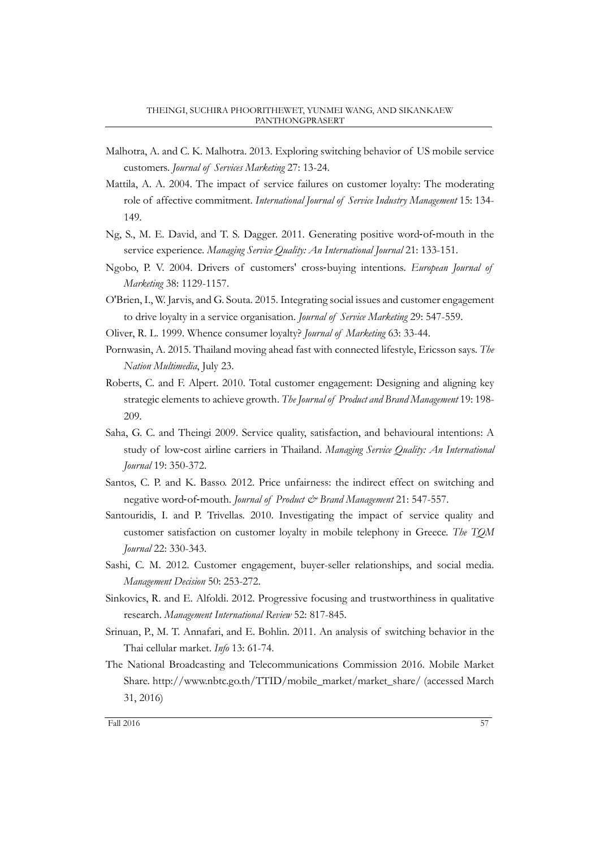- Malhotra, A. and C. K. Malhotra. 2013. Exploring switching behavior of US mobile service customers. *Journal of Services Marketing* 27: 13-24.
- Mattila, A. A. 2004. The impact of service failures on customer loyalty: The moderating role of affective commitment. *International Journal of Service Industry Management* 15: 134- 149.
- Ng, S., M. E. David, and T. S. Dagger. 2011. Generating positive word-of-mouth in the service experience. *Managing Service Quality: An International Journal* 21: 133-151.
- Ngobo, P. V. 2004. Drivers of customers' cross-buying intentions. *European Journal of Marketing* 38: 1129-1157.
- O'Brien, I., W. Jarvis, and G. Souta. 2015. Integrating social issues and customer engagement to drive loyalty in a service organisation. *Journal of Service Marketing* 29: 547-559.
- Oliver, R. L. 1999. Whence consumer loyalty? *Journal of Marketing* 63: 33-44.
- Pornwasin, A. 2015. Thailand moving ahead fast with connected lifestyle, Ericsson says. *The Nation Multimedia*, July 23.
- Roberts, C. and F. Alpert. 2010. Total customer engagement: Designing and aligning key strategic elements to achieve growth. *The Journal of Product and Brand Management* 19: 198- 209.
- Saha, G. C. and Theingi 2009. Service quality, satisfaction, and behavioural intentions: A study of low-cost airline carriers in Thailand. *Managing Service Quality: An International Journal* 19: 350-372.
- Santos, C. P. and K. Basso. 2012. Price unfairness: the indirect effect on switching and negative word-of-mouth. *Journal of Product & Brand Management* 21: 547-557.
- Santouridis, I. and P. Trivellas. 2010. Investigating the impact of service quality and customer satisfaction on customer loyalty in mobile telephony in Greece. *The TQM Journal* 22: 330-343.
- Sashi, C. M. 2012. Customer engagement, buyer-seller relationships, and social media. *Management Decision* 50: 253-272.
- Sinkovics, R. and E. Alfoldi. 2012. Progressive focusing and trustworthiness in qualitative research. *Management International Review* 52: 817-845.
- Srinuan, P., M. T. Annafari, and E. Bohlin. 2011. An analysis of switching behavior in the Thai cellular market. *Info* 13: 61-74.
- The National Broadcasting and Telecommunications Commission 2016. Mobile Market Share. http://www.nbtc.go.th/TTID/mobile\_market/market\_share/ (accessed March 31, 2016)